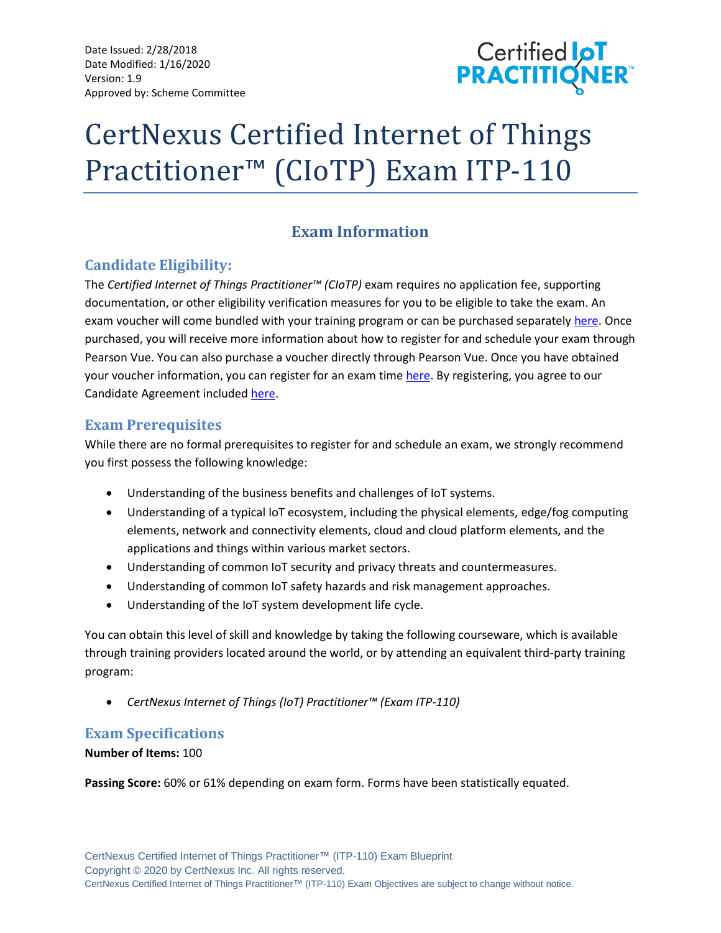Date Issued: 2/28/2018 Date Modified: 1/16/2020 Version: 1.9 Approved by: Scheme Committee



# CertNexus Certified Internet of Things Practitioner™ (CIoTP) Exam ITP-110

## **Exam Information**

## **Candidate Eligibility:**

The *Certified Internet of Things Practitioner™ (CIoTP)* exam requires no application fee, supporting documentation, or other eligibility verification measures for you to be eligible to take the exam. An exam voucher will come bundled with your training program or can be purchased separatel[y here.](https://store.certnexus.com/) Once purchased, you will receive more information about how to register for and schedule your exam through Pearson Vue. You can also purchase a voucher directly through Pearson Vue. Once you have obtained your voucher information, you can register for an exam time [here.](https://home.pearsonvue.com/certnexus) By registering, you agree to our Candidate Agreement included [here.](https://certnexus.com/wp-content/uploads/2018/06/CertNexus-Candidate-Handbook.pdf)

## **Exam Prerequisites**

While there are no formal prerequisites to register for and schedule an exam, we strongly recommend you first possess the following knowledge:

- Understanding of the business benefits and challenges of IoT systems.
- Understanding of a typical IoT ecosystem, including the physical elements, edge/fog computing elements, network and connectivity elements, cloud and cloud platform elements, and the applications and things within various market sectors.
- Understanding of common IoT security and privacy threats and countermeasures.
- Understanding of common IoT safety hazards and risk management approaches.
- Understanding of the IoT system development life cycle.

You can obtain this level of skill and knowledge by taking the following courseware, which is available through training providers located around the world, or by attending an equivalent third-party training program:

• *CertNexus Internet of Things (IoT) Practitioner™ (Exam ITP-110)*

## **Exam Specifications**

## **Number of Items:** 100

**Passing Score:** 60% or 61% depending on exam form. Forms have been statistically equated.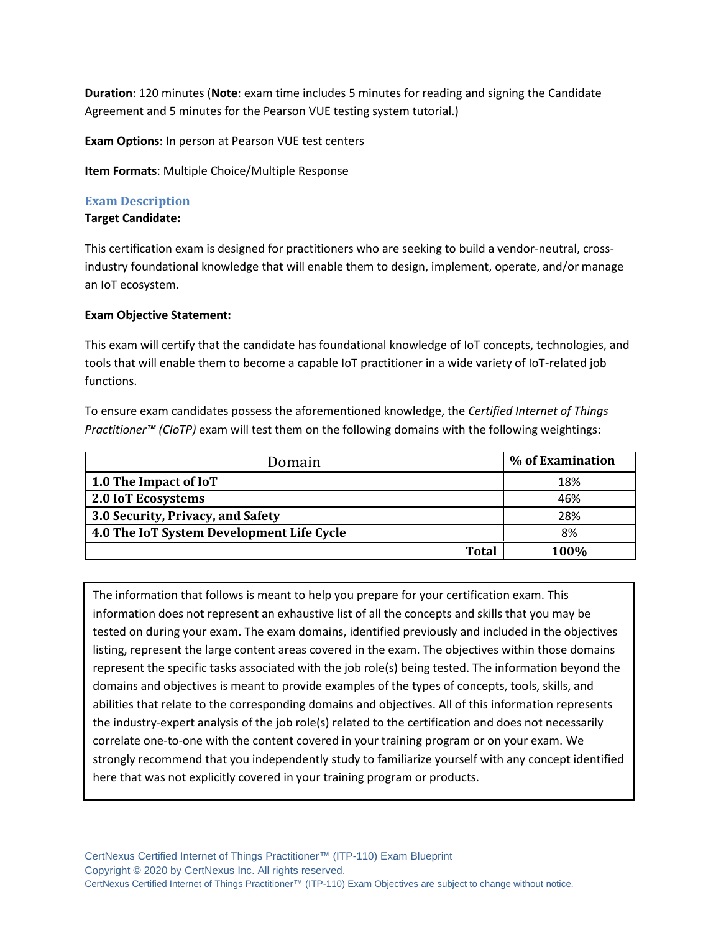**Duration**: 120 minutes (**Note**: exam time includes 5 minutes for reading and signing the Candidate Agreement and 5 minutes for the Pearson VUE testing system tutorial.)

**Exam Options**: In person at Pearson VUE test centers

**Item Formats**: Multiple Choice/Multiple Response

#### **Exam Description**

#### **Target Candidate:**

This certification exam is designed for practitioners who are seeking to build a vendor-neutral, crossindustry foundational knowledge that will enable them to design, implement, operate, and/or manage an IoT ecosystem.

#### **Exam Objective Statement:**

This exam will certify that the candidate has foundational knowledge of IoT concepts, technologies, and tools that will enable them to become a capable IoT practitioner in a wide variety of IoT-related job functions.

To ensure exam candidates possess the aforementioned knowledge, the *Certified Internet of Things Practitioner™ (CIoTP)* exam will test them on the following domains with the following weightings:

| Domain                                    | % of Examination |
|-------------------------------------------|------------------|
| 1.0 The Impact of IoT                     | 18%              |
| 2.0 IoT Ecosystems                        | 46%              |
| 3.0 Security, Privacy, and Safety         | 28%              |
| 4.0 The IoT System Development Life Cycle | 8%               |
| <b>Total</b>                              | 100%             |

The information that follows is meant to help you prepare for your certification exam. This information does not represent an exhaustive list of all the concepts and skills that you may be tested on during your exam. The exam domains, identified previously and included in the objectives listing, represent the large content areas covered in the exam. The objectives within those domains represent the specific tasks associated with the job role(s) being tested. The information beyond the domains and objectives is meant to provide examples of the types of concepts, tools, skills, and abilities that relate to the corresponding domains and objectives. All of this information represents the industry-expert analysis of the job role(s) related to the certification and does not necessarily correlate one-to-one with the content covered in your training program or on your exam. We strongly recommend that you independently study to familiarize yourself with any concept identified here that was not explicitly covered in your training program or products.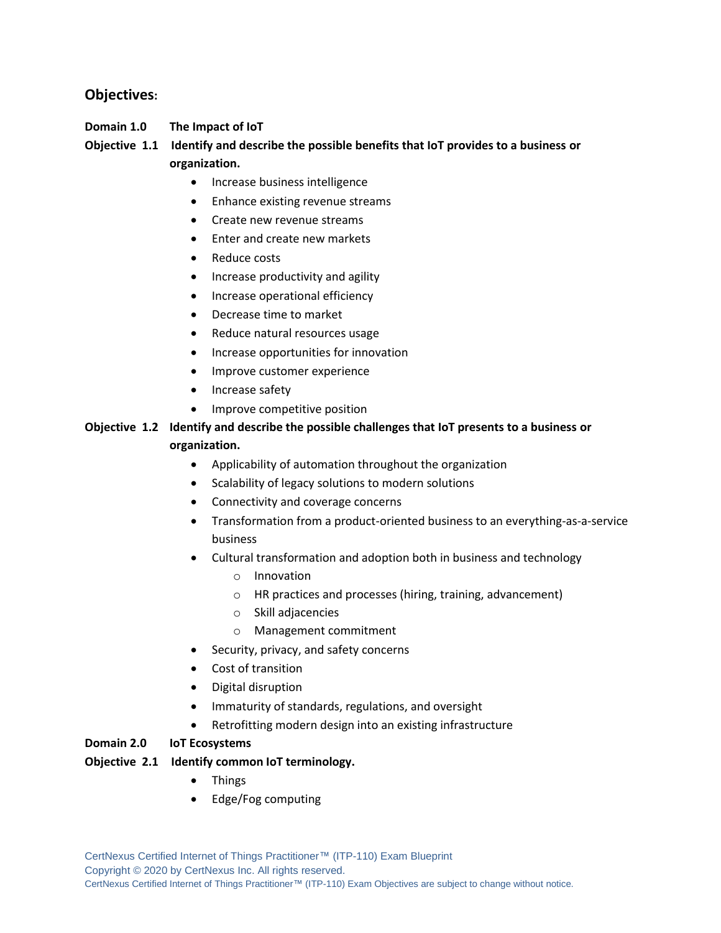## **Objectives:**

## **Domain 1.0 The Impact of IoT**

## **Objective 1.1 Identify and describe the possible benefits that IoT provides to a business or organization.**

- Increase business intelligence
- Enhance existing revenue streams
- Create new revenue streams
- Enter and create new markets
- Reduce costs
- Increase productivity and agility
- Increase operational efficiency
- Decrease time to market
- Reduce natural resources usage
- Increase opportunities for innovation
- Improve customer experience
- Increase safety
- Improve competitive position

## **Objective 1.2 Identify and describe the possible challenges that IoT presents to a business or organization.**

- Applicability of automation throughout the organization
- Scalability of legacy solutions to modern solutions
- Connectivity and coverage concerns
- Transformation from a product-oriented business to an everything-as-a-service business
- Cultural transformation and adoption both in business and technology
	- o Innovation
	- o HR practices and processes (hiring, training, advancement)
	- o Skill adjacencies
	- o Management commitment
- Security, privacy, and safety concerns
- Cost of transition
- Digital disruption
- Immaturity of standards, regulations, and oversight
- Retrofitting modern design into an existing infrastructure

#### **Domain 2.0 IoT Ecosystems**

#### **Objective 2.1 Identify common IoT terminology.**

- Things
- Edge/Fog computing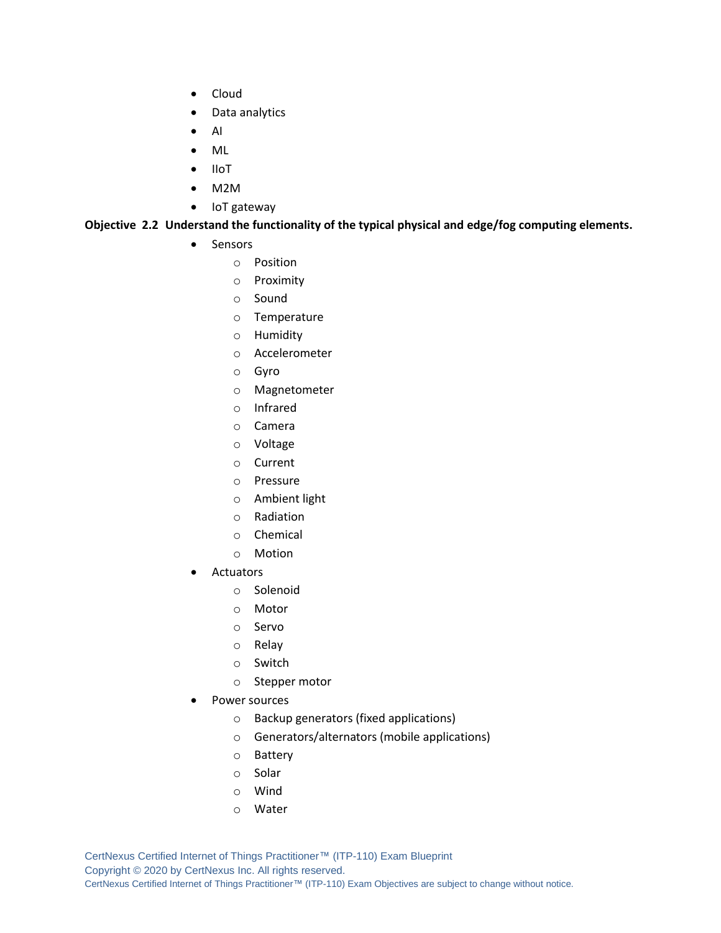- Cloud
- Data analytics
- AI
- ML
- IIoT
- M2M
- IoT gateway

#### **Objective 2.2 Understand the functionality of the typical physical and edge/fog computing elements.**

- Sensors
	- o Position
	- o Proximity
	- o Sound
	- o Temperature
	- o Humidity
	- o Accelerometer
	- o Gyro
	- o Magnetometer
	- o Infrared
	- o Camera
	- o Voltage
	- o Current
	- o Pressure
	- o Ambient light
	- o Radiation
	- o Chemical
	- o Motion
- **Actuators** 
	- o Solenoid
	- o Motor
	- o Servo
	- o Relay
	- o Switch
	- o Stepper motor
- Power sources
	- o Backup generators (fixed applications)
	- o Generators/alternators (mobile applications)
	- o Battery
	- o Solar
	- o Wind
	- o Water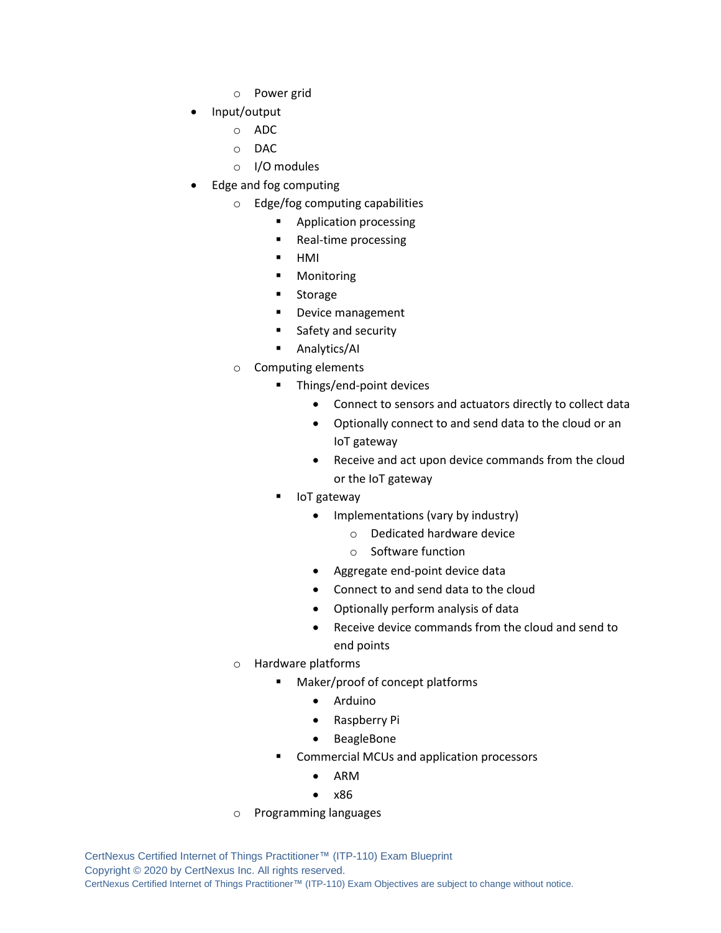- o Power grid
- Input/output
	- o ADC
	- o DAC
	- o I/O modules
- Edge and fog computing
	- o Edge/fog computing capabilities
		- Application processing
		- Real-time processing
		- HMI
		- Monitoring
		- Storage
		- Device management
		- Safety and security
		- Analytics/AI
	- o Computing elements
		- Things/end-point devices
			- Connect to sensors and actuators directly to collect data
			- Optionally connect to and send data to the cloud or an IoT gateway
			- Receive and act upon device commands from the cloud or the IoT gateway
			- IoT gateway
				- Implementations (vary by industry)
					- o Dedicated hardware device
					- o Software function
				- Aggregate end-point device data
				- Connect to and send data to the cloud
				- Optionally perform analysis of data
				- Receive device commands from the cloud and send to end points
	- o Hardware platforms
		- Maker/proof of concept platforms
			- Arduino
			- Raspberry Pi
			- BeagleBone
		- Commercial MCUs and application processors
			- ARM
			- x86
	- o Programming languages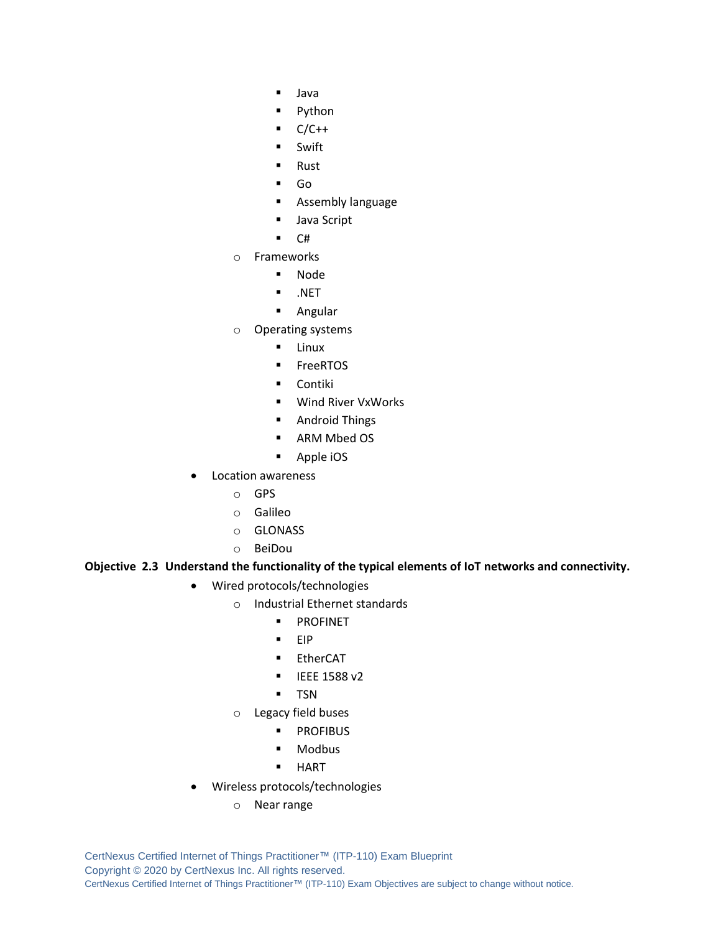- Java
- Python
- $C/C++$
- Swift
- **Rust**
- Go
- **E** Assembly language
- Java Script
- C#
- o Frameworks
	- Node
	- .NET
	- Angular
- o Operating systems
	- Linux
	- FreeRTOS
	- Contiki
	- Wind River VxWorks
	- Android Things
	- ARM Mbed OS
	- Apple iOS
- Location awareness
	- o GPS
	- o Galileo
	- o GLONASS
	- o BeiDou

#### **Objective 2.3 Understand the functionality of the typical elements of IoT networks and connectivity.**

- Wired protocols/technologies
	- o Industrial Ethernet standards
		- PROFINET
		- EIP
		- EtherCAT
		- **■** IEEE 1588 v2
		- TSN
	- o Legacy field buses
		- **■** PROFIBUS
		- Modbus
		- HART
- Wireless protocols/technologies
	- o Near range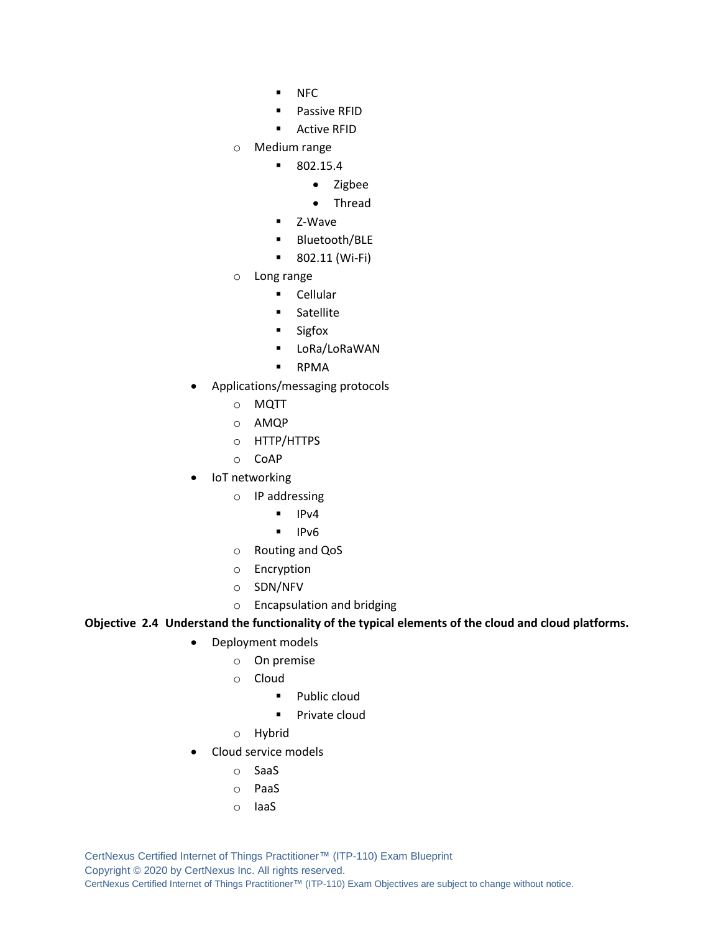- NFC
- Passive RFID
- Active RFID
- o Medium range
	- 802.15.4
		- Zigbee
		- Thread
	- Z-Wave
	- Bluetooth/BLE
	- 802.11 (Wi-Fi)
- o Long range
	- Cellular
	- Satellite
	- Sigfox
	- LoRa/LoRaWAN
	- RPMA
- Applications/messaging protocols
	- o MQTT
	- o AMQP
	- o HTTP/HTTPS
	- o CoAP
- IoT networking
	- o IP addressing
		- IPv4
		- IPv6
	- o Routing and QoS
	- o Encryption
	- o SDN/NFV
	- o Encapsulation and bridging

**Objective 2.4 Understand the functionality of the typical elements of the cloud and cloud platforms.**

- Deployment models
	- o On premise
	- o Cloud
		- Public cloud
		- Private cloud
	- o Hybrid
- Cloud service models
	- o SaaS
	- o PaaS
	- o IaaS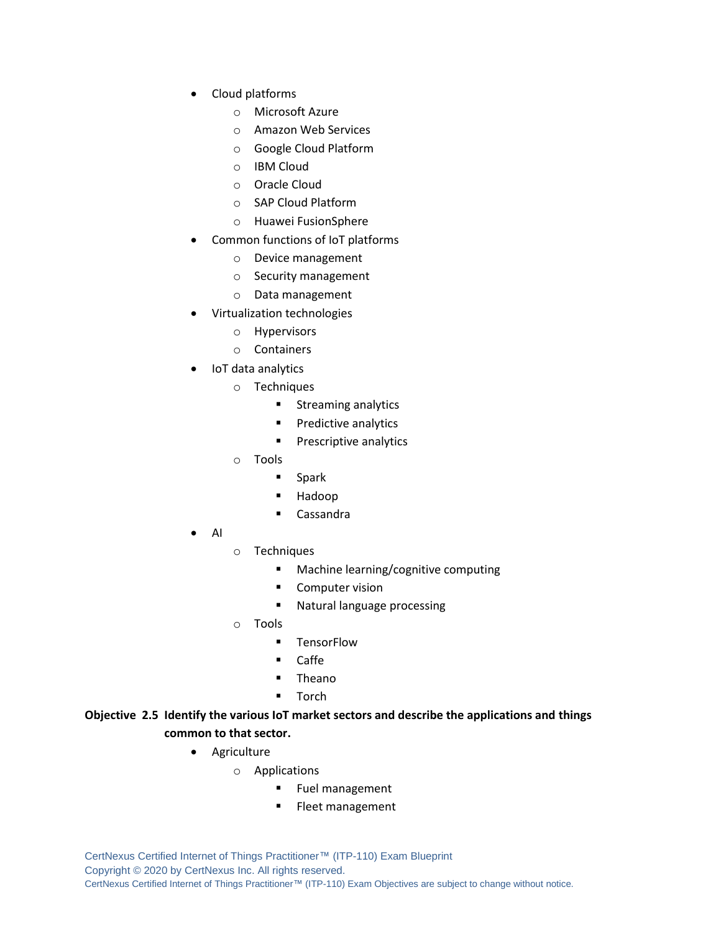- Cloud platforms
	- o Microsoft Azure
	- o Amazon Web Services
	- o Google Cloud Platform
	- o IBM Cloud
	- o Oracle Cloud
	- o SAP Cloud Platform
	- o Huawei FusionSphere
- Common functions of IoT platforms
	- o Device management
	- o Security management
	- o Data management
- Virtualization technologies
	- o Hypervisors
	- o Containers
- IoT data analytics
	- o Techniques
		- Streaming analytics
		- Predictive analytics
		- **•** Prescriptive analytics
	- o Tools
		- Spark
		- Hadoop
		- Cassandra
- AI
- o Techniques
	- Machine learning/cognitive computing
	- Computer vision
	- Natural language processing
- o Tools
	- **■** TensorFlow
	- Caffe
	- Theano
	- Torch

## **Objective 2.5 Identify the various IoT market sectors and describe the applications and things common to that sector.**

- Agriculture
	- o Applications
		- Fuel management
		- **EXEC** Fleet management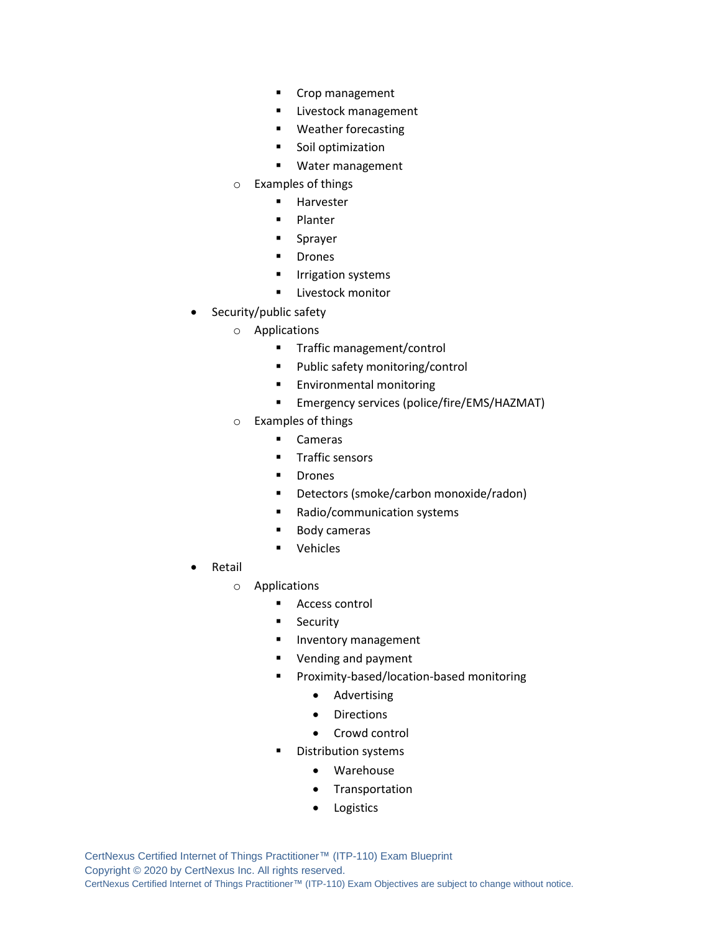- Crop management
- **E** Livestock management
- Weather forecasting
- Soil optimization
- Water management
- o Examples of things
	- Harvester
	- Planter
	- Sprayer
	- Drones
	- **■** Irrigation systems
	- **E** Livestock monitor
- Security/public safety
	- o Applications
		- **■** Traffic management/control
		- Public safety monitoring/control
		- Environmental monitoring
		- Emergency services (police/fire/EMS/HAZMAT)
	- o Examples of things
		- Cameras
		- Traffic sensors
		- Drones
		- Detectors (smoke/carbon monoxide/radon)
		- Radio/communication systems
		- Body cameras
		- Vehicles
- Retail
	- o Applications
		- Access control
		- **■** Security
		- **■** Inventory management
		- Vending and payment
		- Proximity-based/location-based monitoring
			- Advertising
			- Directions
			- Crowd control
		- **Distribution systems** 
			- Warehouse
			- Transportation
			- **Logistics**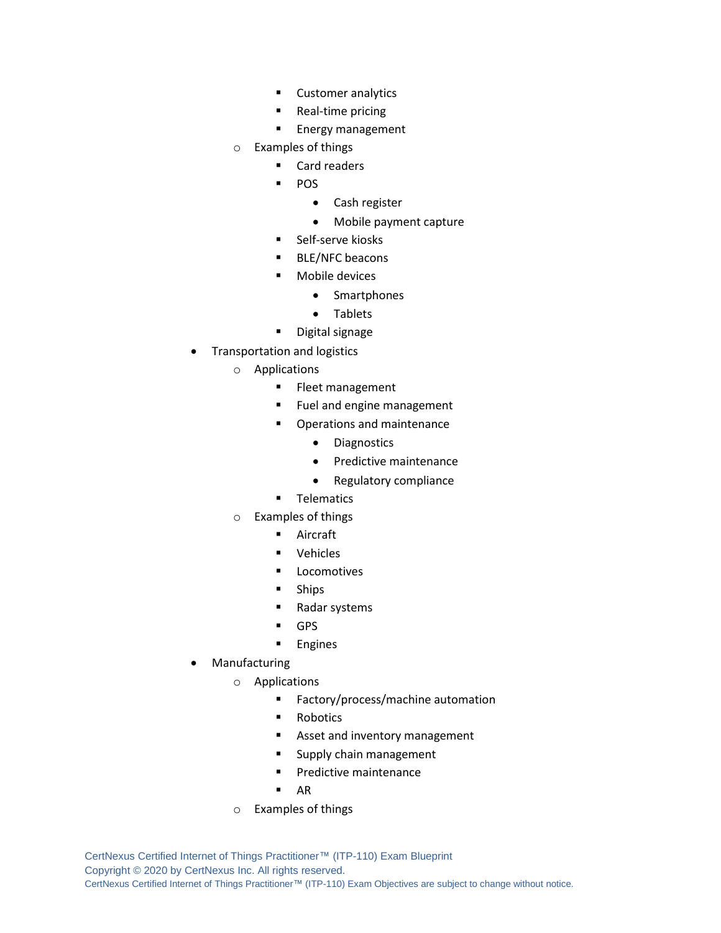- Customer analytics
- Real-time pricing
- Energy management
- o Examples of things
	- Card readers
	- **POS** 
		- Cash register
		- Mobile payment capture
	- Self-serve kiosks
	- BLE/NFC beacons
	- Mobile devices
		- Smartphones
		- Tablets
	- Digital signage
- Transportation and logistics
	- o Applications
		- **EXEC** Fleet management
		- Fuel and engine management
		- Operations and maintenance
			- Diagnostics
			- Predictive maintenance
			- Regulatory compliance
		- **■** Telematics
	- o Examples of things
		- Aircraft
		- Vehicles
		- Locomotives
		- **Ships**
		- Radar systems
		- GPS
		- **Engines**
- **Manufacturing** 
	- o Applications
		- Factory/process/machine automation
		- Robotics
		- Asset and inventory management
		- **E** Supply chain management
		- Predictive maintenance
		- $\blacksquare$  AR
	- o Examples of things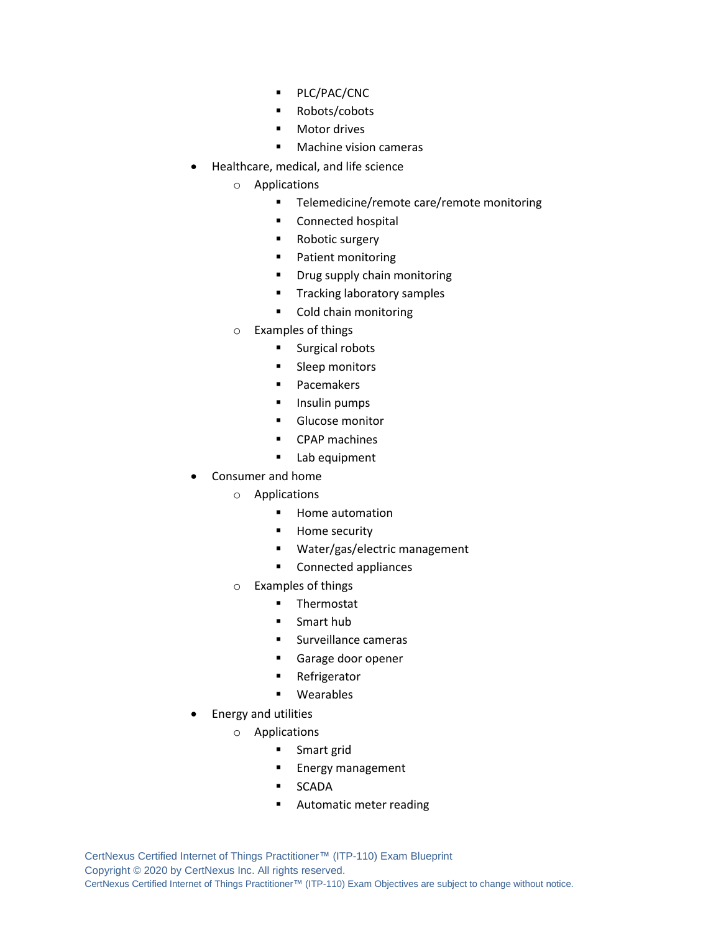- PLC/PAC/CNC
- Robots/cobots
- Motor drives
- Machine vision cameras
- Healthcare, medical, and life science
	- o Applications
		- Telemedicine/remote care/remote monitoring
		- Connected hospital
		- Robotic surgery
		- Patient monitoring
		- Drug supply chain monitoring
		- **■** Tracking laboratory samples
		- Cold chain monitoring
	- o Examples of things
		- Surgical robots
		- Sleep monitors
		- Pacemakers
		- **■** Insulin pumps
		- **Glucose monitor**
		- CPAP machines
		- Lab equipment
- Consumer and home
	- o Applications
		- Home automation
		- Home security
		- Water/gas/electric management
		- Connected appliances
	- o Examples of things
		- Thermostat
		- Smart hub
		- Surveillance cameras
		- Garage door opener
		- **EXE** Refrigerator
		- Wearables
- Energy and utilities
	- o Applications
		- Smart grid
		- Energy management
		- SCADA
		- Automatic meter reading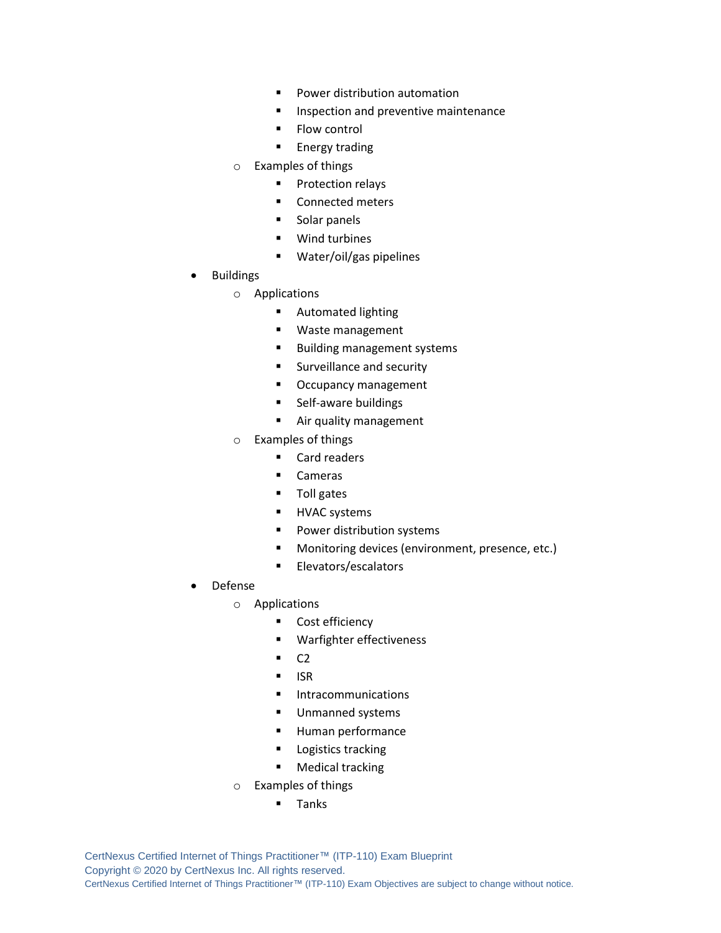- Power distribution automation
- Inspection and preventive maintenance
- Flow control
- **Energy trading**
- o Examples of things
	- Protection relays
	- Connected meters
	- Solar panels
	- Wind turbines
	- Water/oil/gas pipelines
- **Buildings** 
	- o Applications
		- Automated lighting
		- Waste management
		- Building management systems
		- Surveillance and security
		- Occupancy management
		- Self-aware buildings
		- **E** Air quality management
	- o Examples of things
		- Card readers
		- Cameras
		- Toll gates
		- **■** HVAC systems
		- Power distribution systems
		- Monitoring devices (environment, presence, etc.)
		- **■** Elevators/escalators
- Defense
	- o Applications
		- Cost efficiency
		- Warfighter effectiveness
		- $\overline{C2}$
		- ISR
		- **■** Intracommunications
		- Unmanned systems
		- Human performance
		- Logistics tracking
		- Medical tracking
	- o Examples of things
		- Tanks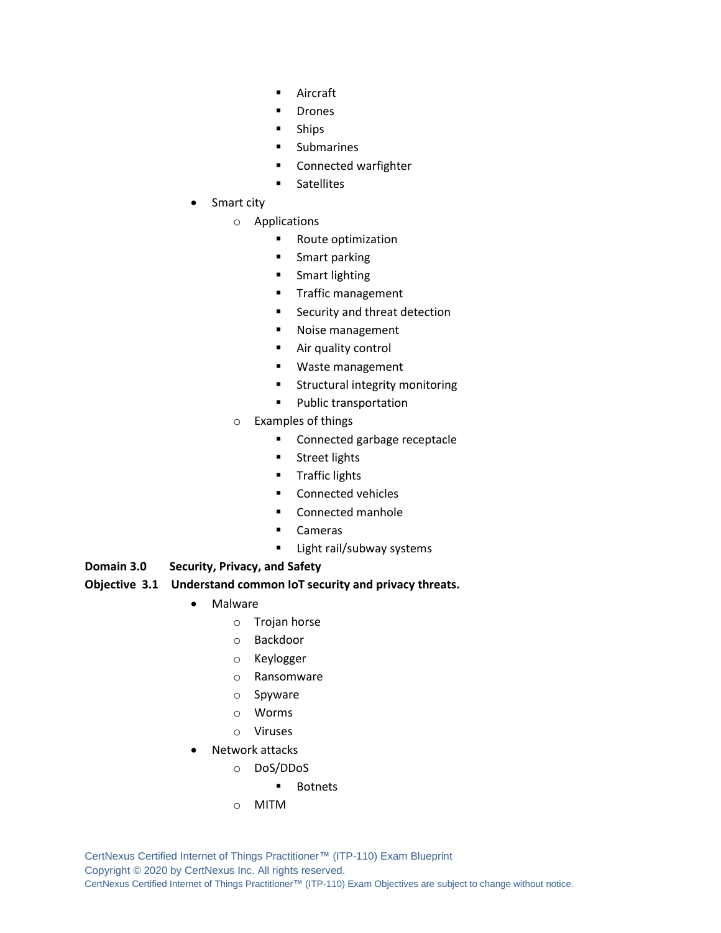- Aircraft
- Drones
- Ships
- Submarines
- Connected warfighter
- Satellites
- Smart city
	- o Applications
		- Route optimization
		- Smart parking
		- Smart lighting
		- **Traffic management**
		- Security and threat detection
		- Noise management
		- Air quality control
		- Waste management
		- Structural integrity monitoring
		- Public transportation
	- o Examples of things
		- Connected garbage receptacle
		- Street lights
		- Traffic lights
		- Connected vehicles
		- Connected manhole
		- Cameras
		- Light rail/subway systems
- **Domain 3.0 Security, Privacy, and Safety**

#### **Objective 3.1 Understand common IoT security and privacy threats.**

- Malware
	- o Trojan horse
	- o Backdoor
	- o Keylogger
	- o Ransomware
	- o Spyware
	- o Worms
	- o Viruses
- Network attacks
	- o DoS/DDoS
		- Botnets
	- o MITM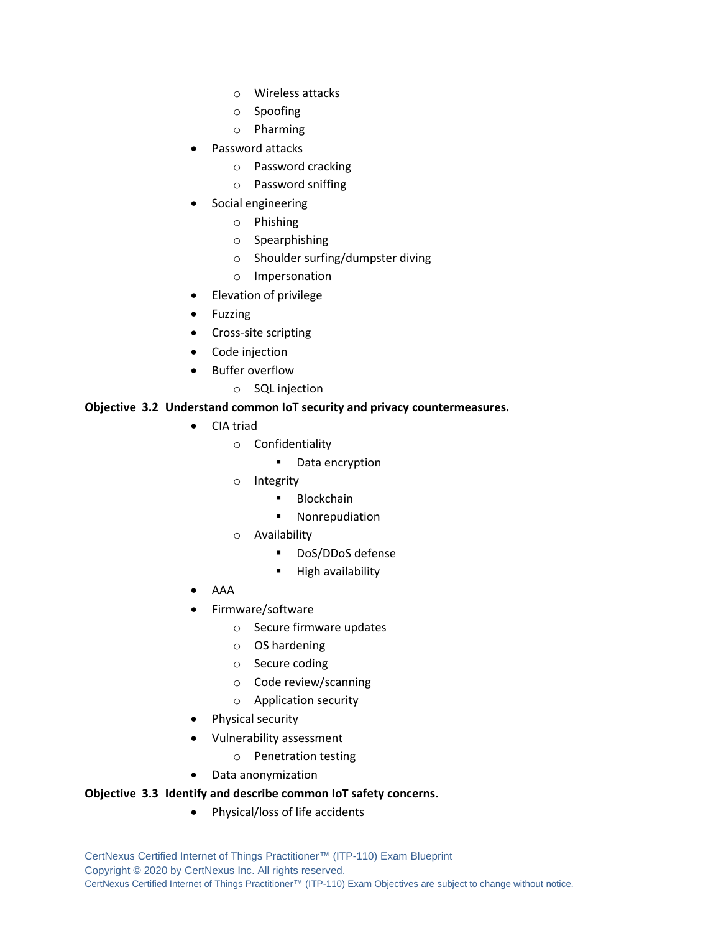- o Wireless attacks
- o Spoofing
- o Pharming
- Password attacks
	- o Password cracking
	- o Password sniffing
- Social engineering
	- o Phishing
	- o Spearphishing
	- o Shoulder surfing/dumpster diving
	- o Impersonation
- Elevation of privilege
- Fuzzing
- Cross-site scripting
- Code injection
- Buffer overflow
	- o SQL injection

#### **Objective 3.2 Understand common IoT security and privacy countermeasures.**

- CIA triad
	- o Confidentiality
		- Data encryption
	- o Integrity
		- Blockchain
		- Nonrepudiation
	- o Availability
		- DoS/DDoS defense
		- High availability
- AAA
- Firmware/software
	- o Secure firmware updates
	- o OS hardening
	- o Secure coding
	- o Code review/scanning
	- o Application security
- Physical security
- Vulnerability assessment
	- o Penetration testing
- Data anonymization

#### **Objective 3.3 Identify and describe common IoT safety concerns.**

• Physical/loss of life accidents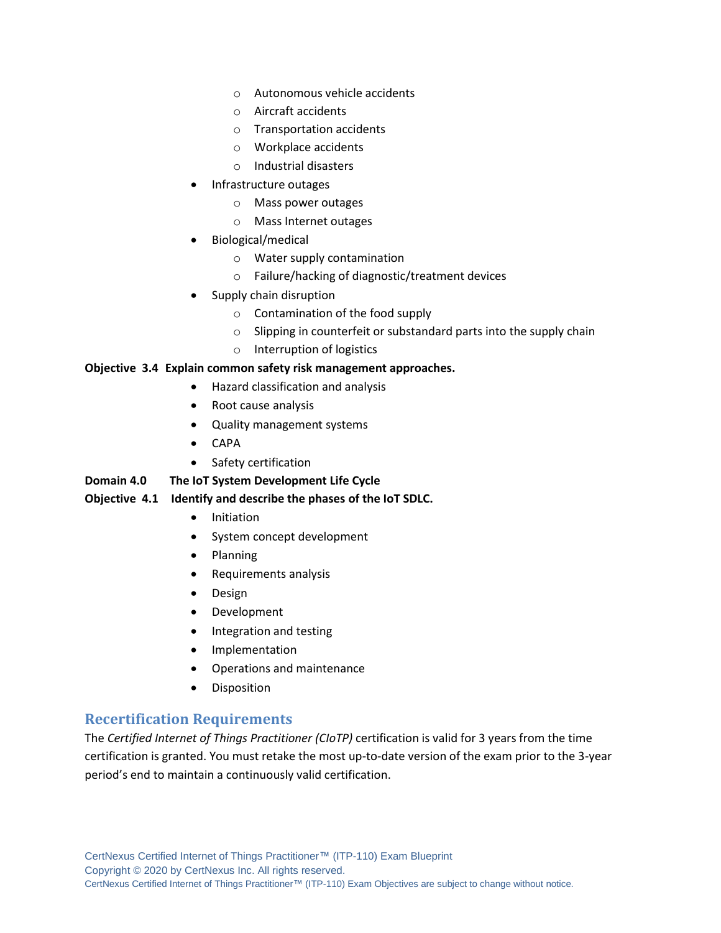- o Autonomous vehicle accidents
- o Aircraft accidents
- o Transportation accidents
- o Workplace accidents
- o Industrial disasters
- Infrastructure outages
	- o Mass power outages
	- o Mass Internet outages
- Biological/medical
	- o Water supply contamination
	- o Failure/hacking of diagnostic/treatment devices
- Supply chain disruption
	- o Contamination of the food supply
	- $\circ$  Slipping in counterfeit or substandard parts into the supply chain
	- o Interruption of logistics

#### **Objective 3.4 Explain common safety risk management approaches.**

- Hazard classification and analysis
- Root cause analysis
- Quality management systems
- CAPA
- Safety certification

#### **Domain 4.0 The IoT System Development Life Cycle**

#### **Objective 4.1 Identify and describe the phases of the IoT SDLC.**

- Initiation
- System concept development
- Planning
- Requirements analysis
- Design
- Development
- Integration and testing
- Implementation
- Operations and maintenance
- Disposition

## **Recertification Requirements**

The *Certified Internet of Things Practitioner (CIoTP)* certification is valid for 3 years from the time certification is granted. You must retake the most up-to-date version of the exam prior to the 3-year period's end to maintain a continuously valid certification.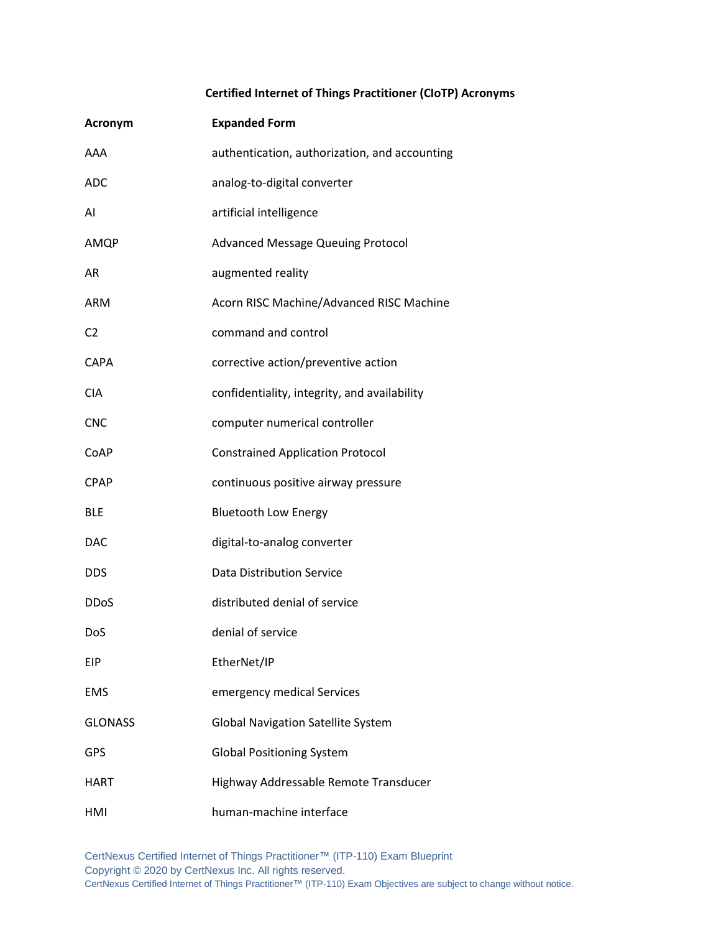## **Certified Internet of Things Practitioner (CIoTP) Acronyms**

| <b>Acronym</b> | <b>Expanded Form</b>                          |
|----------------|-----------------------------------------------|
| AAA            | authentication, authorization, and accounting |
| <b>ADC</b>     | analog-to-digital converter                   |
| AI             | artificial intelligence                       |
| AMQP           | <b>Advanced Message Queuing Protocol</b>      |
| AR             | augmented reality                             |
| ARM            | Acorn RISC Machine/Advanced RISC Machine      |
| C <sub>2</sub> | command and control                           |
| <b>CAPA</b>    | corrective action/preventive action           |
| <b>CIA</b>     | confidentiality, integrity, and availability  |
| <b>CNC</b>     | computer numerical controller                 |
| CoAP           | <b>Constrained Application Protocol</b>       |
| <b>CPAP</b>    | continuous positive airway pressure           |
| <b>BLE</b>     | <b>Bluetooth Low Energy</b>                   |
| <b>DAC</b>     | digital-to-analog converter                   |
| <b>DDS</b>     | <b>Data Distribution Service</b>              |
| <b>DDoS</b>    | distributed denial of service                 |
| DoS            | denial of service                             |
| EIP            | EtherNet/IP                                   |
| <b>EMS</b>     | emergency medical Services                    |
| <b>GLONASS</b> | <b>Global Navigation Satellite System</b>     |
| <b>GPS</b>     | <b>Global Positioning System</b>              |
| HART           | Highway Addressable Remote Transducer         |
| HMI            | human-machine interface                       |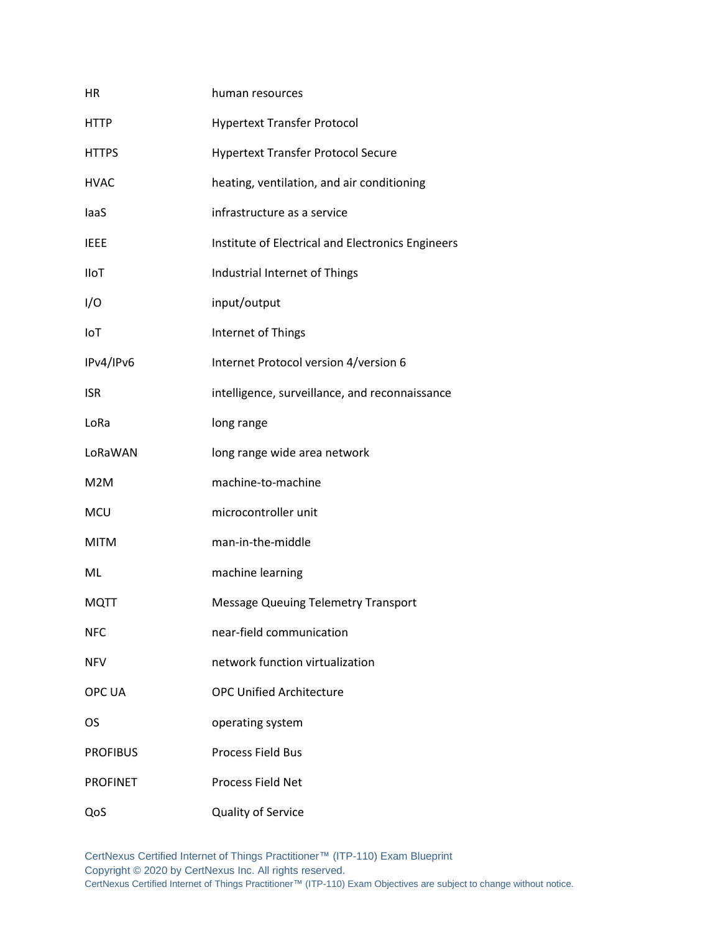| <b>HR</b>        | human resources                                   |
|------------------|---------------------------------------------------|
| <b>HTTP</b>      | <b>Hypertext Transfer Protocol</b>                |
| <b>HTTPS</b>     | <b>Hypertext Transfer Protocol Secure</b>         |
| <b>HVAC</b>      | heating, ventilation, and air conditioning        |
| laaS             | infrastructure as a service                       |
| <b>IEEE</b>      | Institute of Electrical and Electronics Engineers |
| <b>IIoT</b>      | Industrial Internet of Things                     |
| I/O              | input/output                                      |
| IoT              | Internet of Things                                |
| IPv4/IPv6        | Internet Protocol version 4/version 6             |
| <b>ISR</b>       | intelligence, surveillance, and reconnaissance    |
| LoRa             | long range                                        |
| LoRaWAN          | long range wide area network                      |
| M <sub>2</sub> M | machine-to-machine                                |
| <b>MCU</b>       | microcontroller unit                              |
| <b>MITM</b>      | man-in-the-middle                                 |
| ML               | machine learning                                  |
| <b>MQTT</b>      | <b>Message Queuing Telemetry Transport</b>        |
| <b>NFC</b>       | near-field communication                          |
| <b>NFV</b>       | network function virtualization                   |
| OPC UA           | <b>OPC Unified Architecture</b>                   |
| OS               | operating system                                  |
| <b>PROFIBUS</b>  | <b>Process Field Bus</b>                          |
| <b>PROFINET</b>  | <b>Process Field Net</b>                          |
| QoS              | Quality of Service                                |